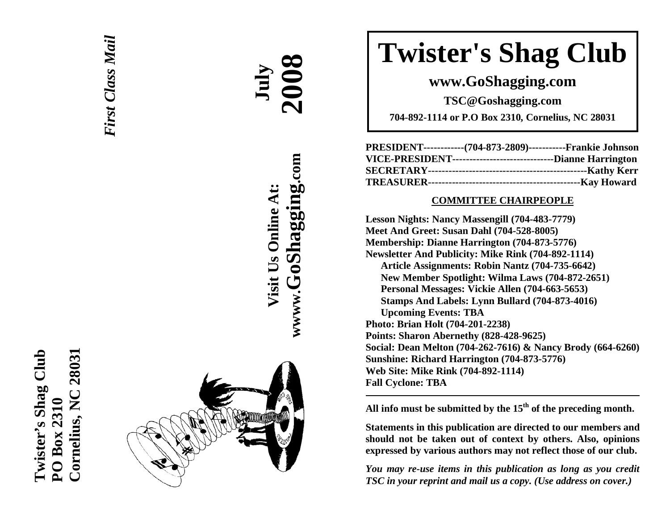



**AA July** 

**Visit Us Online At:**

Visit Us Online At:

**wwww.GoShagging.com**

www.GoShagging.com

 **2008**

# **Twister's Shag Club**

**www.GoShagging.com** 

**TSC@Goshagging.com** 

**704-892-1114 or P.O Box 2310, Cornelius, NC 28031** 

| PRESIDENT-------------(704-873-2809)------------Frankie Johnson  |  |
|------------------------------------------------------------------|--|
| VICE-PRESIDENT---------------------------------Dianne Harrington |  |
|                                                                  |  |
|                                                                  |  |

#### **COMMITTEE CHAIRPEOPLE**

**Lesson Nights: Nancy Massengill (704-483-7779) Meet And Greet: Susan Dahl (704-528-8005) Membership: Dianne Harrington (704-873-5776) Newsletter And Publicity: Mike Rink (704-892-1114) Article Assignments: Robin Nantz (704-735-6642) New Member Spotlight: Wilma Laws (704-872-2651) Personal Messages: Vickie Allen (704-663-5653) Stamps And Labels: Lynn Bullard (704-873-4016) Upcoming Events: TBA Photo: Brian Holt (704-201-2238) Points: Sharon Abernethy (828-428-9625) Social: Dean Melton (704-262-7616) & Nancy Brody (664-6260) Sunshine: Richard Harrington (704-873-5776) Web Site: Mike Rink (704-892-1114) Fall Cyclone: TBA** 

**All info must be submitted by the 15th of the preceding month.** 

**Statements in this publication are directed to our members and should not be taken out of context by others. Also, opinions expressed by various authors may not reflect those of our club.** 

*You may re-use items in this publication as long as you credit TSC in your reprint and mail us a copy. (Use address on cover.)*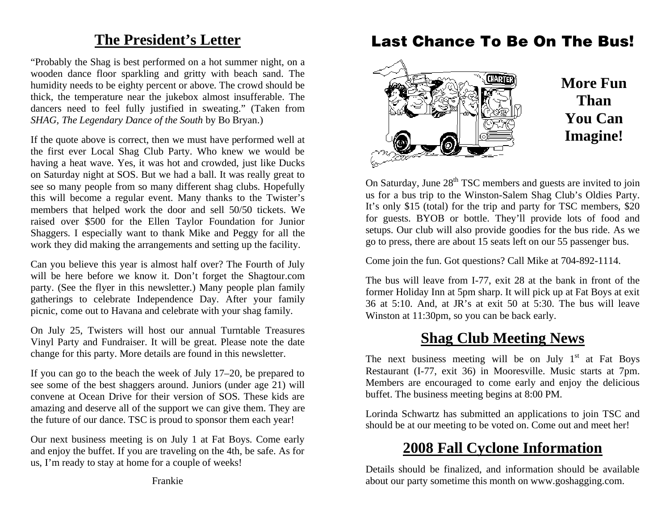### **The President's Letter**

"Probably the Shag is best performed on a hot summer night, on a wooden dance floor sparkling and gritty with beach sand. The humidity needs to be eighty percent or above. The crowd should be thick, the temperature near the jukebox almost insufferable. The dancers need to feel fully justified in sweating." (Taken from *SHAG, The Legendary Dance of the South* by Bo Bryan.)

If the quote above is correct, then we must have performed well at the first ever Local Shag Club Party. Who knew we would be having a heat wave. Yes, it was hot and crowded, just like Ducks on Saturday night at SOS. But we had a ball. It was really great to see so many people from so many different shag clubs. Hopefully this will become a regular event. Many thanks to the Twister's members that helped work the door and sell 50/50 tickets. We raised over \$500 for the Ellen Taylor Foundation for Junior Shaggers. I especially want to thank Mike and Peggy for all the work they did making the arrangements and setting up the facility.

Can you believe this year is almost half over? The Fourth of July will be here before we know it. Don't forget the Shagtour.com party. (See the flyer in this newsletter.) Many people plan family gatherings to celebrate Independence Day. After your family picnic, come out to Havana and celebrate with your shag family.

On July 25, Twisters will host our annual Turntable Treasures Vinyl Party and Fundraiser. It will be great. Please note the date change for this party. More details are found in this newsletter.

If you can go to the beach the week of July 17–20, be prepared to see some of the best shaggers around. Juniors (under age 21) will convene at Ocean Drive for their version of SOS. These kids are amazing and deserve all of the support we can give them. They are the future of our dance. TSC is proud to sponsor them each year!

Our next business meeting is on July 1 at Fat Boys. Come early and enjoy the buffet. If you are traveling on the 4th, be safe. As for us, I'm ready to stay at home for a couple of weeks!

### **Last Chance To Be On The Bus!**



On Saturday, June  $28<sup>th</sup> TSC$  members and guests are invited to join us for a bus trip to the Winston-Salem Shag Club's Oldies Party. It's only \$15 (total) for the trip and party for TSC members, \$20 for guests. BYOB or bottle. They'll provide lots of food and setups. Our club will also provide goodies for the bus ride. As we go to press, there are about 15 seats left on our 55 passenger bus.

Come join the fun. Got questions? Call Mike at 704-892-1114.

The bus will leave from I-77, exit 28 at the bank in front of the former Holiday Inn at 5pm sharp. It will pick up at Fat Boys at exit 36 at 5:10. And, at JR's at exit 50 at 5:30. The bus will leave Winston at 11:30pm, so you can be back early.

### **Shag Club Meeting News**

The next business meeting will be on July  $1<sup>st</sup>$  at Fat Boys Restaurant (I-77, exit 36) in Mooresville. Music starts at 7pm. Members are encouraged to come early and enjoy the delicious buffet. The business meeting begins at 8:00 PM.

Lorinda Schwartz has submitted an applications to join TSC and should be at our meeting to be voted on. Come out and meet her!

### **2008 Fall Cyclone Information**

Details should be finalized, and information should be available about our party sometime this month on www.goshagging.com.

Frankie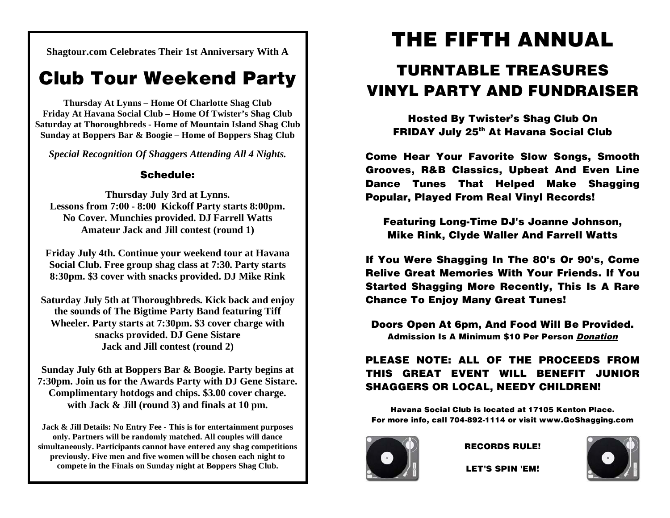**Shagtour.com Celebrates Their 1st Anniversary With A** 

### **Club Tour Weekend Party**

**Thursday At Lynns – Home Of Charlotte Shag Club Friday At Havana Social Club – Home Of Twister's Shag Club Saturday at Thoroughbreds - Home of Mountain Island Shag Club Sunday at Boppers Bar & Boogie – Home of Boppers Shag Club** 

*Special Recognition Of Shaggers Attending All 4 Nights.* 

#### **Schedule:**

**Thursday July 3rd at Lynns. Lessons from 7:00 - 8:00 Kickoff Party starts 8:00pm. No Cover. Munchies provided. DJ Farrell Watts Amateur Jack and Jill contest (round 1)** 

**Friday July 4th. Continue your weekend tour at Havana Social Club. Free group shag class at 7:30. Party starts 8:30pm. \$3 cover with snacks provided. DJ Mike Rink** 

**Saturday July 5th at Thoroughbreds. Kick back and enjoy the sounds of The Bigtime Party Band featuring Tiff Wheeler. Party starts at 7:30pm. \$3 cover charge with snacks provided. DJ Gene Sistare Jack and Jill contest (round 2)** 

**Sunday July 6th at Boppers Bar & Boogie. Party begins at 7:30pm. Join us for the Awards Party with DJ Gene Sistare. Complimentary hotdogs and chips. \$3.00 cover charge. with Jack & Jill (round 3) and finals at 10 pm.** 

**Jack & Jill Details: No Entry Fee - This is for entertainment purposes only. Partners will be randomly matched. All couples will dance simultaneously. Participants cannot have entered any shag competitions previously. Five men and five women will be chosen each night to compete in the Finals on Sunday night at Boppers Shag Club.** 

# **THE FIFTH ANNUAL**

### **TURNTABLE TREASURES VINYL PARTY AND FUNDRAISER**

**Hosted By Twister's Shag Club On FRIDAY July 25th At Havana Social Club** 

**Come Hear Your Favorite Slow Songs, Smooth Grooves, R&B Classics, Upbeat And Even Line Dance Tunes That Helped Make Shagging Popular, Played From Real Vinyl Records!** 

**Featuring Long-Time DJ's Joanne Johnson, Mike Rink, Clyde Waller And Farrell Watts** 

**If You Were Shagging In The 80's Or 90's, Come Relive Great Memories With Your Friends. If You Started Shagging More Recently, This Is A Rare Chance To Enjoy Many Great Tunes!** 

**Doors Open At 6pm, And Food Will Be Provided. Admission Is A Minimum \$10 Per Person Donation**

#### **PLEASE NOTE: ALL OF THE PROCEEDS FROM THIS GREAT EVENT WILL BENEFIT JUNIOR SHAGGERS OR LOCAL, NEEDY CHILDREN!**

**Havana Social Club is located at 17105 Kenton Place. For more info, call 704-892-1114 or visit www.GoShagging.com** 



**RECORDS RULE!** 

**LET'S SPIN 'EM!** 

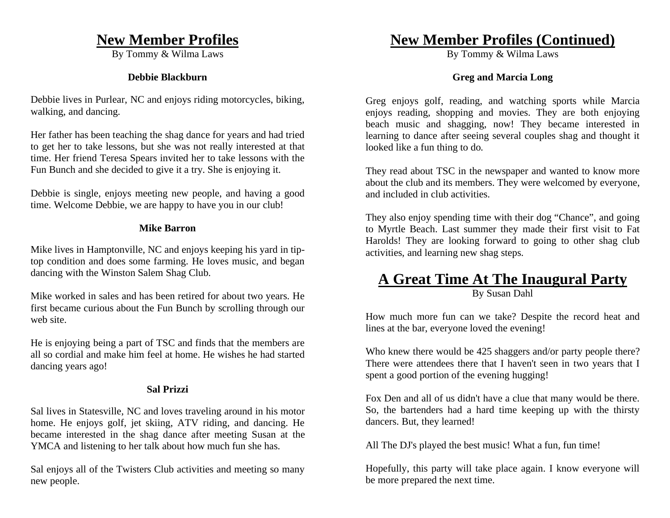### **New Member Profiles**

By Tommy & Wilma Laws

#### **Debbie Blackburn**

Debbie lives in Purlear, NC and enjoys riding motorcycles, biking, walking, and dancing.

Her father has been teaching the shag dance for years and had tried to get her to take lessons, but she was not really interested at that time. Her friend Teresa Spears invited her to take lessons with the Fun Bunch and she decided to give it a try. She is enjoying it.

Debbie is single, enjoys meeting new people, and having a good time. Welcome Debbie, we are happy to have you in our club!

#### **Mike Barron**

Mike lives in Hamptonville, NC and enjoys keeping his yard in tiptop condition and does some farming. He loves music, and began dancing with the Winston Salem Shag Club.

Mike worked in sales and has been retired for about two years. He first became curious about the Fun Bunch by scrolling through our web site.

He is enjoying being a part of TSC and finds that the members are all so cordial and make him feel at home. He wishes he had started dancing years ago!

#### **Sal Prizzi**

Sal lives in Statesville, NC and loves traveling around in his motor home. He enjoys golf, jet skiing, ATV riding, and dancing. He became interested in the shag dance after meeting Susan at the YMCA and listening to her talk about how much fun she has.

Sal enjoys all of the Twisters Club activities and meeting so many new people.

### **New Member Profiles (Continued)**

By Tommy & Wilma Laws

#### **Greg and Marcia Long**

Greg enjoys golf, reading, and watching sports while Marcia enjoys reading, shopping and movies. They are both enjoying beach music and shagging, now! They became interested in learning to dance after seeing several couples shag and thought it looked like a fun thing to do.

They read about TSC in the newspaper and wanted to know more about the club and its members. They were welcomed by everyone, and included in club activities.

They also enjoy spending time with their dog "Chance", and going to Myrtle Beach. Last summer they made their first visit to Fat Harolds! They are looking forward to going to other shag club activities, and learning new shag steps.

### **A Great Time At The Inaugural Party**

By Susan Dahl

How much more fun can we take? Despite the record heat and lines at the bar, everyone loved the evening!

Who knew there would be 425 shaggers and/or party people there? There were attendees there that I haven't seen in two years that I spent a good portion of the evening hugging!

Fox Den and all of us didn't have a clue that many would be there. So, the bartenders had a hard time keeping up with the thirsty dancers. But, they learned!

All The DJ's played the best music! What a fun, fun time!

Hopefully, this party will take place again. I know everyone will be more prepared the next time.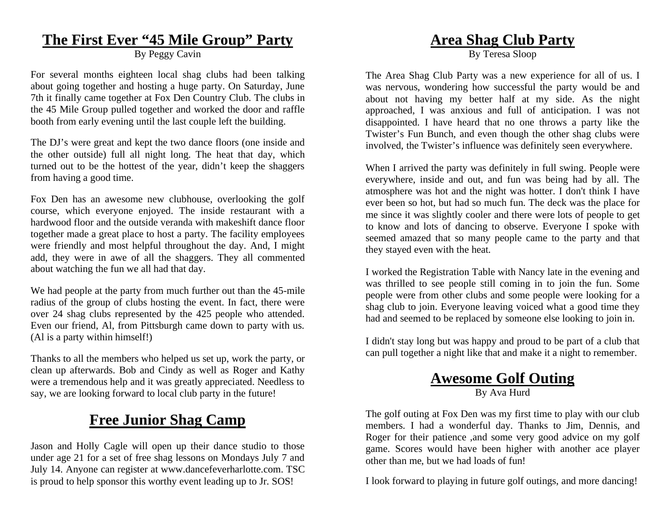### **The First Ever "45 Mile Group" Party**

By Peggy Cavin

For several months eighteen local shag clubs had been talking about going together and hosting a huge party. On Saturday, June 7th it finally came together at Fox Den Country Club. The clubs in the 45 Mile Group pulled together and worked the door and raffle booth from early evening until the last couple left the building.

The DJ's were great and kept the two dance floors (one inside and the other outside) full all night long. The heat that day, which turned out to be the hottest of the year, didn't keep the shaggers from having a good time.

Fox Den has an awesome new clubhouse, overlooking the golf course, which everyone enjoyed. The inside restaurant with a hardwood floor and the outside veranda with makeshift dance floor together made a great place to host a party. The facility employees were friendly and most helpful throughout the day. And, I might add, they were in awe of all the shaggers. They all commented about watching the fun we all had that day.

We had people at the party from much further out than the 45-mile radius of the group of clubs hosting the event. In fact, there were over 24 shag clubs represented by the 425 people who attended. Even our friend, Al, from Pittsburgh came down to party with us. (Al is a party within himself!)

Thanks to all the members who helped us set up, work the party, or clean up afterwards. Bob and Cindy as well as Roger and Kathy were a tremendous help and it was greatly appreciated. Needless to say, we are looking forward to local club party in the future!

### **Free Junior Shag Camp**

Jason and Holly Cagle will open up their dance studio to those under age 21 for a set of free shag lessons on Mondays July 7 and July 14. Anyone can register at www.dancefeverharlotte.com. TSC is proud to help sponsor this worthy event leading up to Jr. SOS!

### **Area Shag Club Party**

By Teresa Sloop

The Area Shag Club Party was a new experience for all of us. I was nervous, wondering how successful the party would be and about not having my better half at my side. As the night approached, I was anxious and full of anticipation. I was not disappointed. I have heard that no one throws a party like the Twister's Fun Bunch, and even though the other shag clubs were involved, the Twister's influence was definitely seen everywhere.

When I arrived the party was definitely in full swing. People were everywhere, inside and out, and fun was being had by all. The atmosphere was hot and the night was hotter. I don't think I have ever been so hot, but had so much fun. The deck was the place for me since it was slightly cooler and there were lots of people to get to know and lots of dancing to observe. Everyone I spoke with seemed amazed that so many people came to the party and that they stayed even with the heat.

I worked the Registration Table with Nancy late in the evening and was thrilled to see people still coming in to join the fun. Some people were from other clubs and some people were looking for a shag club to join. Everyone leaving voiced what a good time they had and seemed to be replaced by someone else looking to join in.

I didn't stay long but was happy and proud to be part of a club that can pull together a night like that and make it a night to remember.

### **Awesome Golf Outing**

By Ava Hurd

The golf outing at Fox Den was my first time to play with our club members. I had a wonderful day. Thanks to Jim, Dennis, and Roger for their patience ,and some very good advice on my golf game. Scores would have been higher with another ace player other than me, but we had loads of fun!

I look forward to playing in future golf outings, and more dancing!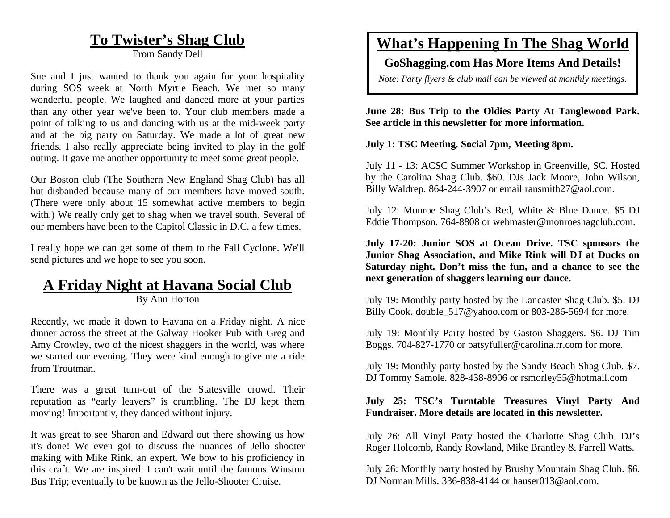### **To Twister's Shag Club**

From Sandy Dell

Sue and I just wanted to thank you again for your hospitality during SOS week at North Myrtle Beach. We met so many wonderful people. We laughed and danced more at your parties than any other year we've been to. Your club members made a point of talking to us and dancing with us at the mid-week party and at the big party on Saturday. We made a lot of great new friends. I also really appreciate being invited to play in the golf outing. It gave me another opportunity to meet some great people.

Our Boston club (The Southern New England Shag Club) has all but disbanded because many of our members have moved south. (There were only about 15 somewhat active members to begin with.) We really only get to shag when we travel south. Several of our members have been to the Capitol Classic in D.C. a few times.

I really hope we can get some of them to the Fall Cyclone. We'll send pictures and we hope to see you soon.

### **A Friday Night at Havana Social Club**

By Ann Horton

Recently, we made it down to Havana on a Friday night. A nice dinner across the street at the Galway Hooker Pub with Greg and Amy Crowley, two of the nicest shaggers in the world, was where we started our evening. They were kind enough to give me a ride from Troutman.

There was a great turn-out of the Statesville crowd. Their reputation as "early leavers" is crumbling. The DJ kept them moving! Importantly, they danced without injury.

It was great to see Sharon and Edward out there showing us how it's done! We even got to discuss the nuances of Jello shooter making with Mike Rink, an expert. We bow to his proficiency in this craft. We are inspired. I can't wait until the famous Winston Bus Trip; eventually to be known as the Jello-Shooter Cruise.

### **What's Happening In The Shag World**

#### **GoShagging.com Has More Items And Details!**

*Note: Party flyers & club mail can be viewed at monthly meetings.* 

**June 28: Bus Trip to the Oldies Party At Tanglewood Park. See article in this newsletter for more information.** 

**July 1: TSC Meeting. Social 7pm, Meeting 8pm.** 

July 11 - 13: ACSC Summer Workshop in Greenville, SC. Hosted by the Carolina Shag Club. \$60. DJs Jack Moore, John Wilson, Billy Waldrep. 864-244-3907 or email ransmith27@aol.com.

July 12: Monroe Shag Club's Red, White & Blue Dance. \$5 DJ Eddie Thompson. 764-8808 or webmaster@monroeshagclub.com.

**July 17-20: Junior SOS at Ocean Drive. TSC sponsors the Junior Shag Association, and Mike Rink will DJ at Ducks on Saturday night. Don't miss the fun, and a chance to see the next generation of shaggers learning our dance.** 

July 19: Monthly party hosted by the Lancaster Shag Club. \$5. DJ Billy Cook. double 517@yahoo.com or 803-286-5694 for more.

July 19: Monthly Party hosted by Gaston Shaggers. \$6. DJ Tim Boggs. 704-827-1770 or patsyfuller@carolina.rr.com for more.

July 19: Monthly party hosted by the Sandy Beach Shag Club. \$7. DJ Tommy Samole. 828-438-8906 or rsmorley55@hotmail.com

#### **July 25: TSC's Turntable Treasures Vinyl Party And Fundraiser. More details are located in this newsletter.**

July 26: All Vinyl Party hosted the Charlotte Shag Club. DJ's Roger Holcomb, Randy Rowland, Mike Brantley & Farrell Watts.

July 26: Monthly party hosted by Brushy Mountain Shag Club. \$6. DJ Norman Mills. 336-838-4144 or hauser013@aol.com.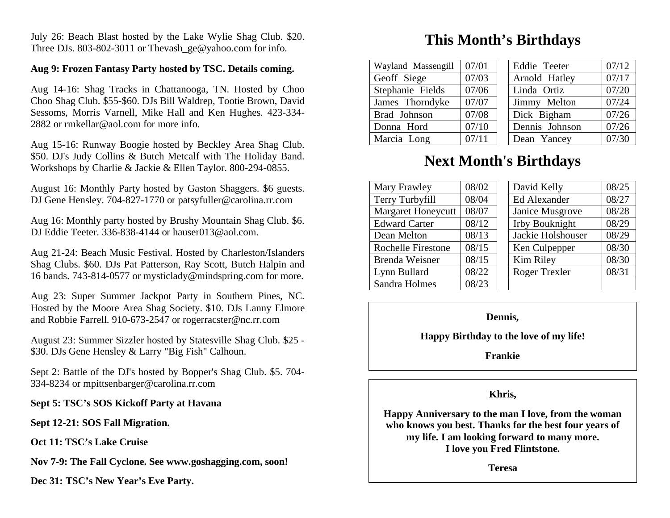July 26: Beach Blast hosted by the Lake Wylie Shag Club. \$20. Three DJs. 803-802-3011 or Thevash ge@yahoo.com for info.

#### **Aug 9: Frozen Fantasy Party hosted by TSC. Details coming.**

Aug 14-16: Shag Tracks in Chattanooga, TN. Hosted by Choo Choo Shag Club. \$55-\$60. DJs Bill Waldrep, Tootie Brown, David Sessoms, Morris Varnell, Mike Hall and Ken Hughes. 423-334- 2882 or rmkellar@aol.com for more info.

Aug 15-16: Runway Boogie hosted by Beckley Area Shag Club. \$50. DJ's Judy Collins & Butch Metcalf with The Holiday Band. Workshops by Charlie & Jackie & Ellen Taylor. 800-294-0855.

August 16: Monthly Party hosted by Gaston Shaggers. \$6 guests. DJ Gene Hensley. 704-827-1770 or patsyfuller@carolina.rr.com

Aug 16: Monthly party hosted by Brushy Mountain Shag Club. \$6. DJ Eddie Teeter. 336-838-4144 or hauser013@aol.com.

Aug 21-24: Beach Music Festival. Hosted by Charleston/Islanders Shag Clubs. \$60. DJs Pat Patterson, Ray Scott, Butch Halpin and 16 bands. 743-814-0577 or mysticlady@mindspring.com for more.

Aug 23: Super Summer Jackpot Party in Southern Pines, NC. Hosted by the Moore Area Shag Society. \$10. DJs Lanny Elmore and Robbie Farrell. 910-673-2547 or rogerracster@nc.rr.com

August 23: Summer Sizzler hosted by Statesville Shag Club. \$25 - \$30. DJs Gene Hensley & Larry "Big Fish" Calhoun.

Sept 2: Battle of the DJ's hosted by Bopper's Shag Club. \$5. 704- 334-8234 or mpittsenbarger@carolina.rr.com

#### **Sept 5: TSC's SOS Kickoff Party at Havana**

**Sept 12-21: SOS Fall Migration.** 

**Oct 11: TSC's Lake Cruise** 

**Nov 7-9: The Fall Cyclone. See www.goshagging.com, soon!** 

**Dec 31: TSC's New Year's Eve Party.** 

### **This Month's Birthdays**

| Wayland Massengill | 07/01 |  | Eddie Teeter   | 07/12 |
|--------------------|-------|--|----------------|-------|
| Geoff Siege        | 07/03 |  | Arnold Hatley  | 07/17 |
| Stephanie Fields   | 07/06 |  | Linda Ortiz    | 07/20 |
| James Thorndyke    | 07/07 |  | Jimmy Melton   | 07/24 |
| Brad Johnson       | 07/08 |  | Dick Bigham    | 07/26 |
| Donna Hord         | 07/10 |  | Dennis Johnson | 07/26 |
| Marcia Long        | 07/11 |  | Dean Yancey    | 07/30 |

### **Next Month's Birthdays**

| Mary Frawley              | 08/02 |  | David Kelly           | 08/25 |
|---------------------------|-------|--|-----------------------|-------|
| Terry Turbyfill           | 08/04 |  | Ed Alexander          | 08/27 |
| <b>Margaret Honeycutt</b> | 08/07 |  | Janice Musgrove       | 08/28 |
| <b>Edward Carter</b>      | 08/12 |  | <b>Irby Bouknight</b> | 08/29 |
| Dean Melton               | 08/13 |  | Jackie Holshouser     | 08/29 |
| <b>Rochelle Firestone</b> | 08/15 |  | Ken Culpepper         | 08/30 |
| <b>Brenda Weisner</b>     | 08/15 |  | Kim Riley             | 08/30 |
| Lynn Bullard              | 08/22 |  | Roger Trexler         | 08/31 |
| Sandra Holmes             | 08/23 |  |                       |       |

#### **Dennis,**

**Happy Birthday to the love of my life!** 

**Frankie** 

#### **Khris,**

**Happy Anniversary to the man I love, from the woman who knows you best. Thanks for the best four years of my life. I am looking forward to many more. I love you Fred Flintstone.** 

**Teresa**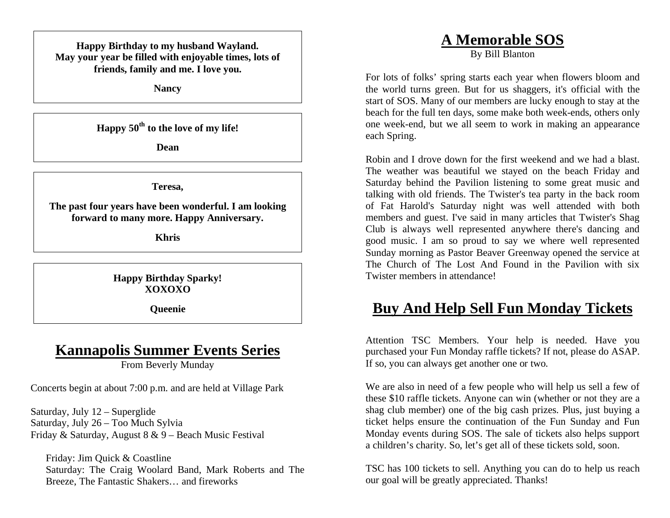**Happy Birthday to my husband Wayland. May your year be filled with enjoyable times, lots of friends, family and me. I love you.** 

**Nancy** 

**Happy 50th to the love of my life!** 

**Dean** 

**Teresa,** 

**The past four years have been wonderful. I am looking forward to many more. Happy Anniversary.** 

**Khris** 

**Happy Birthday Sparky! XOXOXO** 

**Queenie** 

### **Kannapolis Summer Events Series**

From Beverly Munday

Concerts begin at about 7:00 p.m. and are held at Village Park

Saturday, July 12 – Superglide Saturday, July 26 – Too Much Sylvia Friday & Saturday, August 8 & 9 – Beach Music Festival

Friday: Jim Quick & Coastline Saturday: The Craig Woolard Band, Mark Roberts and The Breeze, The Fantastic Shakers… and fireworks

### **A Memorable SOS**

By Bill Blanton

For lots of folks' spring starts each year when flowers bloom and the world turns green. But for us shaggers, it's official with the start of SOS. Many of our members are lucky enough to stay at the beach for the full ten days, some make both week-ends, others only one week-end, but we all seem to work in making an appearance each Spring.

Robin and I drove down for the first weekend and we had a blast. The weather was beautiful we stayed on the beach Friday and Saturday behind the Pavilion listening to some great music and talking with old friends. The Twister's tea party in the back room of Fat Harold's Saturday night was well attended with both members and guest. I've said in many articles that Twister's Shag Club is always well represented anywhere there's dancing and good music. I am so proud to say we where well represented Sunday morning as Pastor Beaver Greenway opened the service at The Church of The Lost And Found in the Pavilion with six Twister members in attendance!

### **Buy And Help Sell Fun Monday Tickets**

Attention TSC Members. Your help is needed. Have you purchased your Fun Monday raffle tickets? If not, please do ASAP. If so, you can always get another one or two.

We are also in need of a few people who will help us sell a few of these \$10 raffle tickets. Anyone can win (whether or not they are a shag club member) one of the big cash prizes. Plus, just buying a ticket helps ensure the continuation of the Fun Sunday and Fun Monday events during SOS. The sale of tickets also helps support a children's charity. So, let's get all of these tickets sold, soon.

TSC has 100 tickets to sell. Anything you can do to help us reach our goal will be greatly appreciated. Thanks!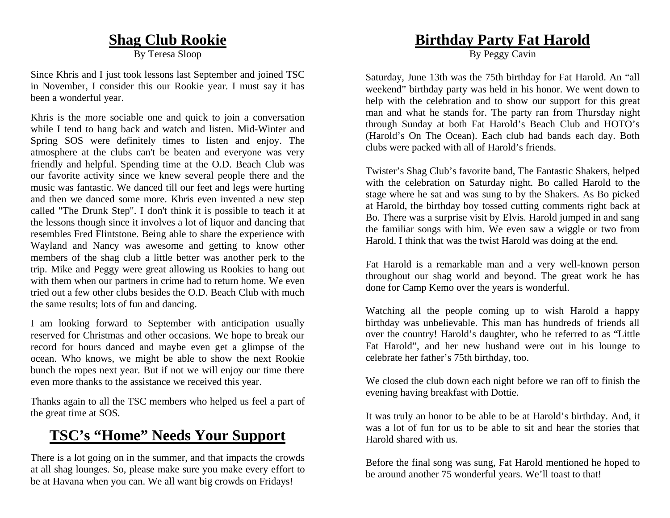### **Shag Club Rookie**

By Teresa Sloop

Since Khris and I just took lessons last September and joined TSC in November, I consider this our Rookie year. I must say it has been a wonderful year.

Khris is the more sociable one and quick to join a conversation while I tend to hang back and watch and listen. Mid-Winter and Spring SOS were definitely times to listen and enjoy. The atmosphere at the clubs can't be beaten and everyone was very friendly and helpful. Spending time at the O.D. Beach Club was our favorite activity since we knew several people there and the music was fantastic. We danced till our feet and legs were hurting and then we danced some more. Khris even invented a new step called "The Drunk Step". I don't think it is possible to teach it at the lessons though since it involves a lot of liquor and dancing that resembles Fred Flintstone. Being able to share the experience with Wayland and Nancy was awesome and getting to know other members of the shag club a little better was another perk to the trip. Mike and Peggy were great allowing us Rookies to hang out with them when our partners in crime had to return home. We even tried out a few other clubs besides the O.D. Beach Club with much the same results; lots of fun and dancing.

I am looking forward to September with anticipation usually reserved for Christmas and other occasions. We hope to break our record for hours danced and maybe even get a glimpse of the ocean. Who knows, we might be able to show the next Rookie bunch the ropes next year. But if not we will enjoy our time there even more thanks to the assistance we received this year.

Thanks again to all the TSC members who helped us feel a part of the great time at SOS.

### **TSC's "Home" Needs Your Support**

There is a lot going on in the summer, and that impacts the crowds at all shag lounges. So, please make sure you make every effort to be at Havana when you can. We all want big crowds on Fridays!

### **Birthday Party Fat Harold**

By Peggy Cavin

Saturday, June 13th was the 75th birthday for Fat Harold. An "all weekend" birthday party was held in his honor. We went down to help with the celebration and to show our support for this great man and what he stands for. The party ran from Thursday night through Sunday at both Fat Harold's Beach Club and HOTO's (Harold's On The Ocean). Each club had bands each day. Both clubs were packed with all of Harold's friends.

Twister's Shag Club's favorite band, The Fantastic Shakers, helped with the celebration on Saturday night. Bo called Harold to the stage where he sat and was sung to by the Shakers. As Bo picked at Harold, the birthday boy tossed cutting comments right back at Bo. There was a surprise visit by Elvis. Harold jumped in and sang the familiar songs with him. We even saw a wiggle or two from Harold. I think that was the twist Harold was doing at the end.

Fat Harold is a remarkable man and a very well-known person throughout our shag world and beyond. The great work he has done for Camp Kemo over the years is wonderful.

Watching all the people coming up to wish Harold a happy birthday was unbelievable. This man has hundreds of friends all over the country! Harold's daughter, who he referred to as "Little Fat Harold", and her new husband were out in his lounge to celebrate her father's 75th birthday, too.

We closed the club down each night before we ran off to finish the evening having breakfast with Dottie.

It was truly an honor to be able to be at Harold's birthday. And, it was a lot of fun for us to be able to sit and hear the stories that Harold shared with us.

Before the final song was sung, Fat Harold mentioned he hoped to be around another 75 wonderful years. We'll toast to that!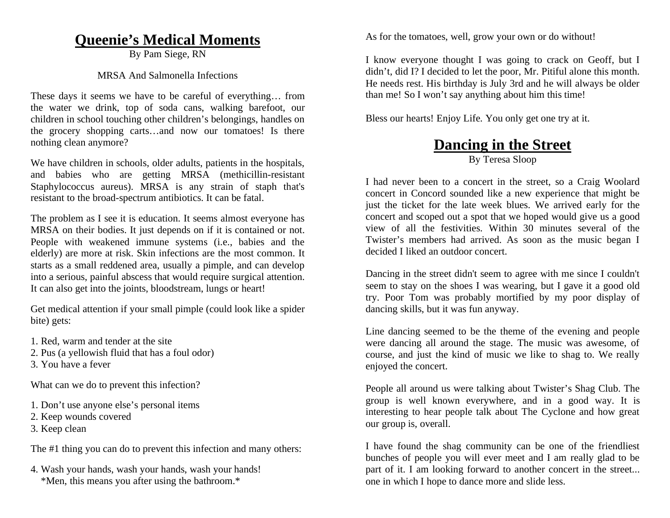### **Queenie's Medical Moments**

By Pam Siege, RN

#### MRSA And Salmonella Infections

These days it seems we have to be careful of everything… from the water we drink, top of soda cans, walking barefoot, our children in school touching other children's belongings, handles on the grocery shopping carts…and now our tomatoes! Is there nothing clean anymore?

We have children in schools, older adults, patients in the hospitals, and babies who are getting MRSA (methicillin-resistant Staphylococcus aureus). MRSA is any strain of staph that's resistant to the broad-spectrum antibiotics. It can be fatal.

The problem as I see it is education. It seems almost everyone has MRSA on their bodies. It just depends on if it is contained or not. People with weakened immune systems (i.e., babies and the elderly) are more at risk. Skin infections are the most common. It starts as a small reddened area, usually a pimple, and can develop into a serious, painful abscess that would require surgical attention. It can also get into the joints, bloodstream, lungs or heart!

Get medical attention if your small pimple (could look like a spider bite) gets:

- 1. Red, warm and tender at the site
- 2. Pus (a yellowish fluid that has a foul odor)
- 3. You have a fever

What can we do to prevent this infection?

- 1. Don't use anyone else's personal items
- 2. Keep wounds covered
- 3. Keep clean

The #1 thing you can do to prevent this infection and many others:

4. Wash your hands, wash your hands, wash your hands! \*Men, this means you after using the bathroom.\*

As for the tomatoes, well, grow your own or do without!

I know everyone thought I was going to crack on Geoff, but I didn't, did I? I decided to let the poor, Mr. Pitiful alone this month. He needs rest. His birthday is July 3rd and he will always be older than me! So I won't say anything about him this time!

Bless our hearts! Enjoy Life. You only get one try at it.

### **Dancing in the Street**

#### By Teresa Sloop

I had never been to a concert in the street, so a Craig Woolard concert in Concord sounded like a new experience that might be just the ticket for the late week blues. We arrived early for the concert and scoped out a spot that we hoped would give us a good view of all the festivities. Within 30 minutes several of the Twister's members had arrived. As soon as the music began I decided I liked an outdoor concert.

Dancing in the street didn't seem to agree with me since I couldn't seem to stay on the shoes I was wearing, but I gave it a good old try. Poor Tom was probably mortified by my poor display of dancing skills, but it was fun anyway.

Line dancing seemed to be the theme of the evening and people were dancing all around the stage. The music was awesome, of course, and just the kind of music we like to shag to. We really enjoyed the concert.

People all around us were talking about Twister's Shag Club. The group is well known everywhere, and in a good way. It is interesting to hear people talk about The Cyclone and how great our group is, overall.

I have found the shag community can be one of the friendliest bunches of people you will ever meet and I am really glad to be part of it. I am looking forward to another concert in the street... one in which I hope to dance more and slide less.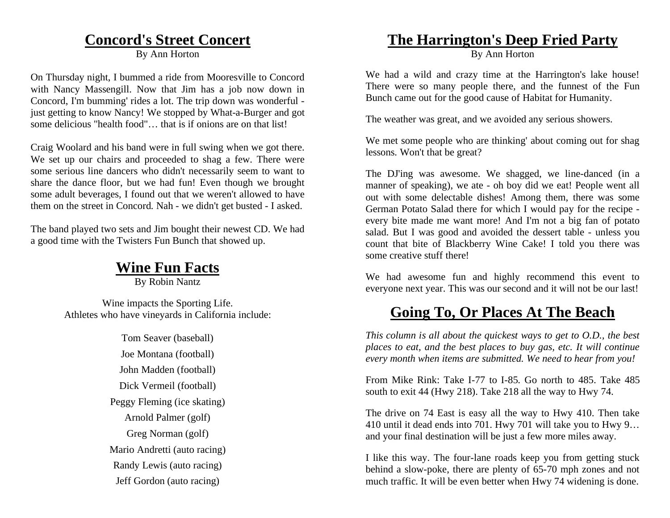### **Concord's Street Concert**

By Ann Horton

On Thursday night, I bummed a ride from Mooresville to Concord with Nancy Massengill. Now that Jim has a job now down in Concord, I'm bumming' rides a lot. The trip down was wonderful just getting to know Nancy! We stopped by What-a-Burger and got some delicious "health food"… that is if onions are on that list!

Craig Woolard and his band were in full swing when we got there. We set up our chairs and proceeded to shag a few. There were some serious line dancers who didn't necessarily seem to want to share the dance floor, but we had fun! Even though we brought some adult beverages, I found out that we weren't allowed to have them on the street in Concord. Nah - we didn't get busted - I asked.

The band played two sets and Jim bought their newest CD. We had a good time with the Twisters Fun Bunch that showed up.

### **Wine Fun Facts**

By Robin Nantz

Wine impacts the Sporting Life. Athletes who have vineyards in California include:

> Tom Seaver (baseball) Joe Montana (football) John Madden (football) Dick Vermeil (football) Peggy Fleming (ice skating) Arnold Palmer (golf) Greg Norman (golf) Mario Andretti (auto racing) Randy Lewis (auto racing) Jeff Gordon (auto racing)

### **The Harrington's Deep Fried Party**

By Ann Horton

We had a wild and crazy time at the Harrington's lake house! There were so many people there, and the funnest of the Fun Bunch came out for the good cause of Habitat for Humanity.

The weather was great, and we avoided any serious showers.

We met some people who are thinking' about coming out for shag lessons. Won't that be great?

The DJ'ing was awesome. We shagged, we line-danced (in a manner of speaking), we ate - oh boy did we eat! People went all out with some delectable dishes! Among them, there was some German Potato Salad there for which I would pay for the recipe every bite made me want more! And I'm not a big fan of potato salad. But I was good and avoided the dessert table - unless you count that bite of Blackberry Wine Cake! I told you there was some creative stuff there!

We had awesome fun and highly recommend this event to everyone next year. This was our second and it will not be our last!

### **Going To, Or Places At The Beach**

*This column is all about the quickest ways to get to O.D., the best places to eat, and the best places to buy gas, etc. It will continue every month when items are submitted. We need to hear from you!* 

From Mike Rink: Take I-77 to I-85. Go north to 485. Take 485 south to exit 44 (Hwy 218). Take 218 all the way to Hwy 74.

The drive on 74 East is easy all the way to Hwy 410. Then take 410 until it dead ends into 701. Hwy 701 will take you to Hwy 9… and your final destination will be just a few more miles away.

I like this way. The four-lane roads keep you from getting stuck behind a slow-poke, there are plenty of 65-70 mph zones and not much traffic. It will be even better when Hwy 74 widening is done.